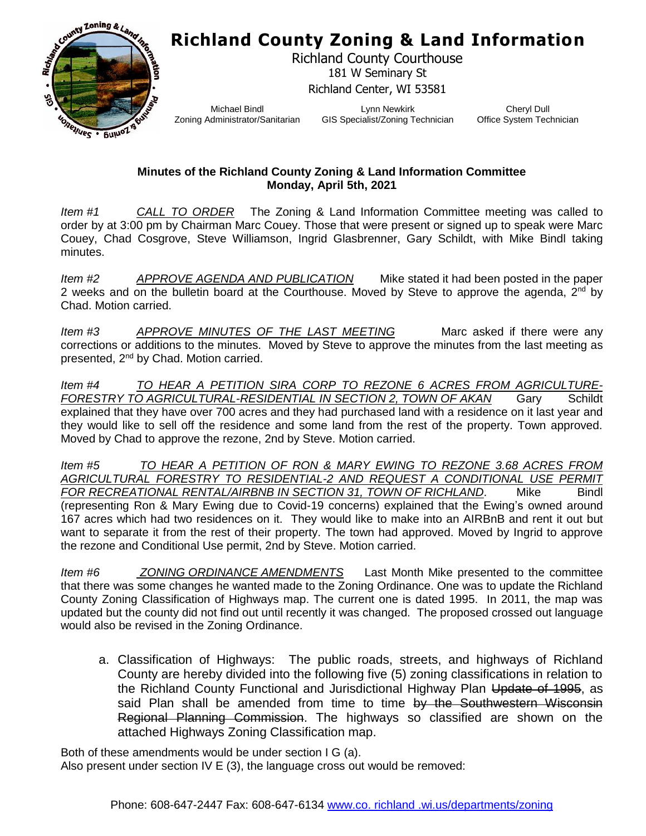## **Richland County Zoning & Land Information**



Richland County Courthouse 181 W Seminary St Richland Center, WI 53581

Michael Bindl Zoning Administrator/Sanitarian

Lynn Newkirk GIS Specialist/Zoning Technician

Cheryl Dull Office System Technician

## **Minutes of the Richland County Zoning & Land Information Committee Monday, April 5th, 2021**

*Item #1 CALL TO ORDER* The Zoning & Land Information Committee meeting was called to order by at 3:00 pm by Chairman Marc Couey. Those that were present or signed up to speak were Marc Couey, Chad Cosgrove, Steve Williamson, Ingrid Glasbrenner, Gary Schildt, with Mike Bindl taking minutes.

*Item #2 APPROVE AGENDA AND PUBLICATION* Mike stated it had been posted in the paper 2 weeks and on the bulletin board at the Courthouse. Moved by Steve to approve the agenda,  $2^{nd}$  by Chad. Motion carried.

*Item #3* APPROVE MINUTES OF THE LAST MEETING Marc asked if there were any corrections or additions to the minutes. Moved by Steve to approve the minutes from the last meeting as presented, 2nd by Chad. Motion carried.

*Item #4 TO HEAR A PETITION SIRA CORP TO REZONE 6 ACRES FROM AGRICULTURE-FORESTRY TO AGRICULTURAL-RESIDENTIAL IN SECTION 2, TOWN OF AKAN* Gary Schildt explained that they have over 700 acres and they had purchased land with a residence on it last year and they would like to sell off the residence and some land from the rest of the property. Town approved. Moved by Chad to approve the rezone, 2nd by Steve. Motion carried.

*Item #5 TO HEAR A PETITION OF RON & MARY EWING TO REZONE 3.68 ACRES FROM AGRICULTURAL FORESTRY TO RESIDENTIAL-2 AND REQUEST A CONDITIONAL USE PERMIT*  FOR RECREATIONAL RENTAL/AIRBNB IN SECTION 31, TOWN OF RICHLAND. Mike Bindl (representing Ron & Mary Ewing due to Covid-19 concerns) explained that the Ewing's owned around 167 acres which had two residences on it. They would like to make into an AIRBnB and rent it out but want to separate it from the rest of their property. The town had approved. Moved by Ingrid to approve the rezone and Conditional Use permit, 2nd by Steve. Motion carried.

*Item #6 ZONING ORDINANCE AMENDMENTS* Last Month Mike presented to the committee that there was some changes he wanted made to the Zoning Ordinance. One was to update the Richland County Zoning Classification of Highways map. The current one is dated 1995. In 2011, the map was updated but the county did not find out until recently it was changed. The proposed crossed out language would also be revised in the Zoning Ordinance.

a. Classification of Highways: The public roads, streets, and highways of Richland County are hereby divided into the following five (5) zoning classifications in relation to the Richland County Functional and Jurisdictional Highway Plan Update of 1995, as said Plan shall be amended from time to time by the Southwestern Wisconsin Regional Planning Commission. The highways so classified are shown on the attached Highways Zoning Classification map.

Both of these amendments would be under section I G (a). Also present under section IV E (3), the language cross out would be removed: